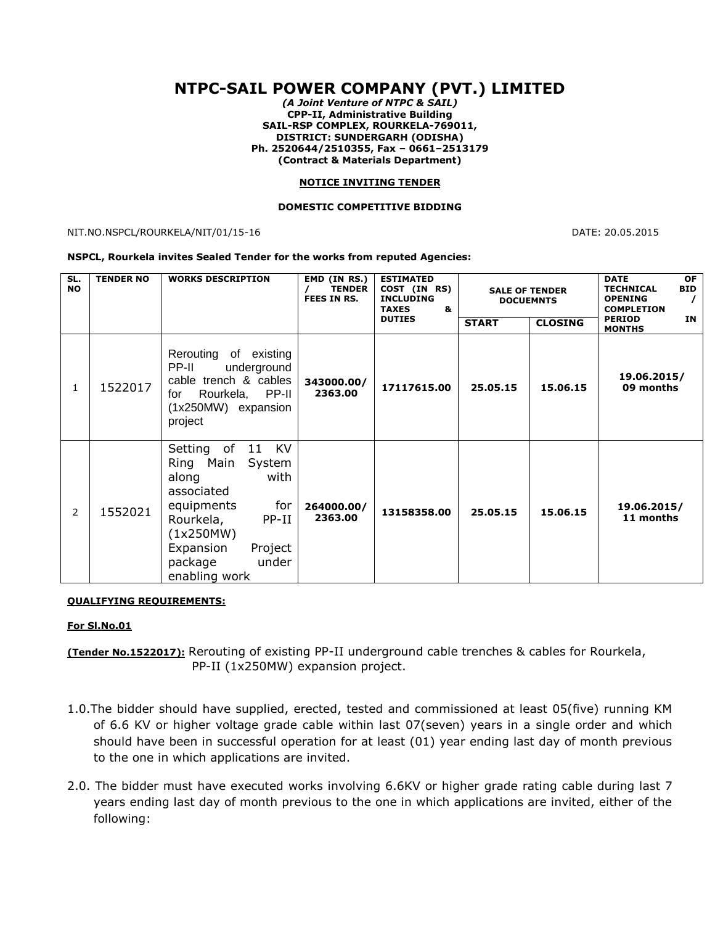# **NTPC-SAIL POWER COMPANY (PVT.) LIMITED**

*(A Joint Venture of NTPC & SAIL)* **CPP-II, Administrative Building SAIL-RSP COMPLEX, ROURKELA-769011, DISTRICT: SUNDERGARH (ODISHA) Ph. 2520644/2510355, Fax – 0661–2513179 (Contract & Materials Department)**

### **NOTICE INVITING TENDER**

### **DOMESTIC COMPETITIVE BIDDING**

NIT.NO.NSPCL/ROURKELA/NIT/01/15-16 DATE: 20.05.2015

#### **NSPCL, Rourkela invites Sealed Tender for the works from reputed Agencies:**

| SL.<br><b>NO</b> | <b>TENDER NO</b> | <b>WORKS DESCRIPTION</b>                                                                                                                                                                   | EMD (IN RS.)<br><b>TENDER</b><br>FEES IN RS. | <b>ESTIMATED</b><br>COST (IN RS)<br><b>INCLUDING</b><br><b>TAXES</b><br>&<br><b>DUTIES</b> | <b>SALE OF TENDER</b><br><b>DOCUEMNTS</b><br><b>START</b><br><b>CLOSING</b> |          | <b>OF</b><br><b>DATE</b><br><b>BID</b><br><b>TECHNICAL</b><br><b>OPENING</b><br><b>COMPLETION</b><br><b>PERIOD</b><br>IN.<br><b>MONTHS</b> |
|------------------|------------------|--------------------------------------------------------------------------------------------------------------------------------------------------------------------------------------------|----------------------------------------------|--------------------------------------------------------------------------------------------|-----------------------------------------------------------------------------|----------|--------------------------------------------------------------------------------------------------------------------------------------------|
| 1                | 1522017          | Rerouting of existing<br>PP-II<br>underground<br>cable trench & cables<br>PP-II<br>Rourkela,<br>for<br>(1x250MW) expansion<br>project                                                      | 343000.00/<br>2363.00                        | 17117615.00                                                                                | 25.05.15                                                                    | 15.06.15 | 19.06.2015/<br>09 months                                                                                                                   |
| 2                | 1552021          | Setting of 11 KV<br>Ring Main System<br>with<br>along<br>associated<br>for<br>equipments<br>Rourkela,<br>$PP-II$<br>(1x250MW)<br>Expansion<br>Project<br>under<br>package<br>enabling work | 264000.00/<br>2363.00                        | 13158358.00                                                                                | 25.05.15                                                                    | 15.06.15 | 19.06.2015/<br>11 months                                                                                                                   |

#### **QUALIFYING REQUIREMENTS:**

### **For Sl.No.01**

**(Tender No.1522017):** Rerouting of existing PP-II underground cable trenches & cables for Rourkela, PP-II (1x250MW) expansion project.

- 1.0.The bidder should have supplied, erected, tested and commissioned at least 05(five) running KM of 6.6 KV or higher voltage grade cable within last 07(seven) years in a single order and which should have been in successful operation for at least (01) year ending last day of month previous to the one in which applications are invited.
- 2.0. The bidder must have executed works involving 6.6KV or higher grade rating cable during last 7 years ending last day of month previous to the one in which applications are invited, either of the following: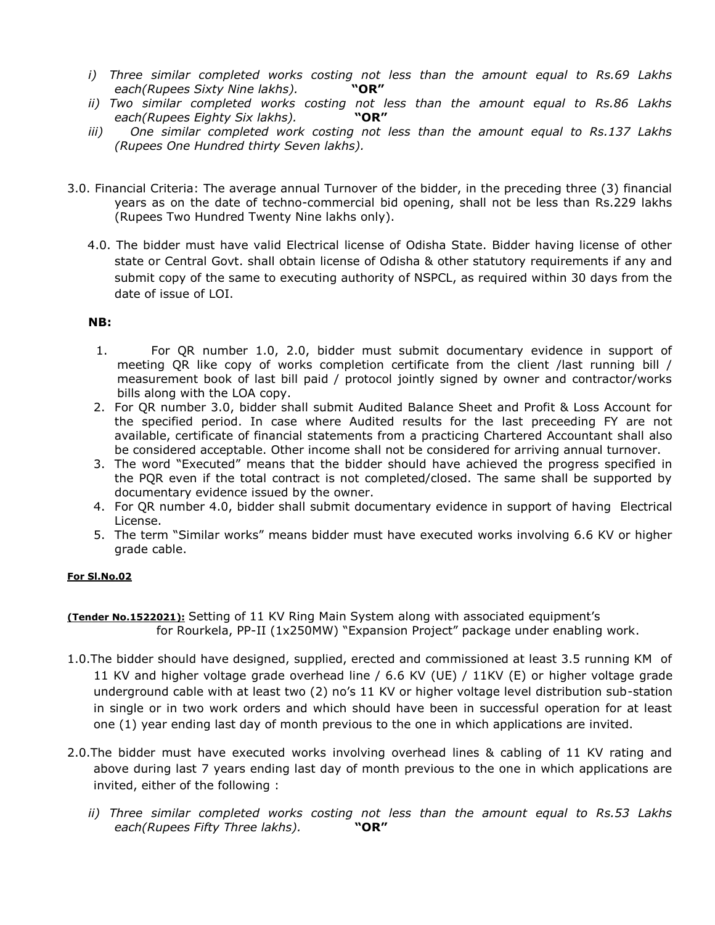- *i) Three similar completed works costing not less than the amount equal to Rs.69 Lakhs each(Rupees Sixty Nine lakhs).* **"OR"**
- *ii) Two similar completed works costing not less than the amount equal to Rs.86 Lakhs each(Rupees Eighty Six lakhs).* **"OR"**
- *iii) One similar completed work costing not less than the amount equal to Rs.137 Lakhs (Rupees One Hundred thirty Seven lakhs).*
- 3.0. Financial Criteria: The average annual Turnover of the bidder, in the preceding three (3) financial years as on the date of techno-commercial bid opening, shall not be less than Rs.229 lakhs (Rupees Two Hundred Twenty Nine lakhs only).
	- 4.0. The bidder must have valid Electrical license of Odisha State. Bidder having license of other state or Central Govt. shall obtain license of Odisha & other statutory requirements if any and submit copy of the same to executing authority of NSPCL, as required within 30 days from the date of issue of LOI.

# **NB:**

- 1. For QR number 1.0, 2.0, bidder must submit documentary evidence in support of meeting QR like copy of works completion certificate from the client /last running bill / measurement book of last bill paid / protocol jointly signed by owner and contractor/works bills along with the LOA copy.
- 2. For QR number 3.0, bidder shall submit Audited Balance Sheet and Profit & Loss Account for the specified period. In case where Audited results for the last preceeding FY are not available, certificate of financial statements from a practicing Chartered Accountant shall also be considered acceptable. Other income shall not be considered for arriving annual turnover.
- 3. The word "Executed" means that the bidder should have achieved the progress specified in the PQR even if the total contract is not completed/closed. The same shall be supported by documentary evidence issued by the owner.
- 4. For QR number 4.0, bidder shall submit documentary evidence in support of having Electrical License.
- 5. The term "Similar works" means bidder must have executed works involving 6.6 KV or higher grade cable.

### **For Sl.No.02**

**(Tender No.1522021):** Setting of 11 KV Ring Main System along with associated equipment's for Rourkela, PP-II (1x250MW) "Expansion Project" package under enabling work.

- 1.0.The bidder should have designed, supplied, erected and commissioned at least 3.5 running KM of 11 KV and higher voltage grade overhead line / 6.6 KV (UE) / 11KV (E) or higher voltage grade underground cable with at least two (2) no's 11 KV or higher voltage level distribution sub-station in single or in two work orders and which should have been in successful operation for at least one (1) year ending last day of month previous to the one in which applications are invited.
- 2.0.The bidder must have executed works involving overhead lines & cabling of 11 KV rating and above during last 7 years ending last day of month previous to the one in which applications are invited, either of the following :
	- *ii) Three similar completed works costing not less than the amount equal to Rs.53 Lakhs each(Rupees Fifty Three lakhs).* **"OR"**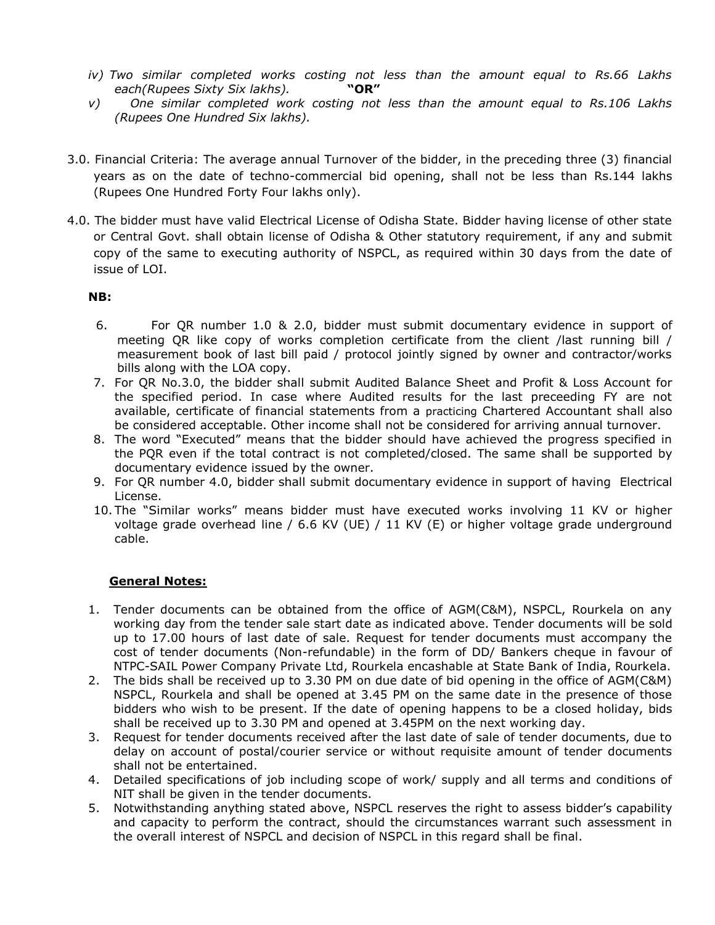- *iv) Two similar completed works costing not less than the amount equal to Rs.66 Lakhs each(Rupees Sixty Six lakhs).* **"OR"**
- *v) One similar completed work costing not less than the amount equal to Rs.106 Lakhs (Rupees One Hundred Six lakhs).*
- 3.0. Financial Criteria: The average annual Turnover of the bidder, in the preceding three (3) financial years as on the date of techno-commercial bid opening, shall not be less than Rs.144 lakhs (Rupees One Hundred Forty Four lakhs only).
- 4.0. The bidder must have valid Electrical License of Odisha State. Bidder having license of other state or Central Govt. shall obtain license of Odisha & Other statutory requirement, if any and submit copy of the same to executing authority of NSPCL, as required within 30 days from the date of issue of LOI.

## **NB:**

- 6. For QR number 1.0 & 2.0, bidder must submit documentary evidence in support of meeting QR like copy of works completion certificate from the client /last running bill / measurement book of last bill paid / protocol jointly signed by owner and contractor/works bills along with the LOA copy.
- 7. For QR No.3.0, the bidder shall submit Audited Balance Sheet and Profit & Loss Account for the specified period. In case where Audited results for the last preceeding FY are not available, certificate of financial statements from a practicing Chartered Accountant shall also be considered acceptable. Other income shall not be considered for arriving annual turnover.
- 8. The word "Executed" means that the bidder should have achieved the progress specified in the PQR even if the total contract is not completed/closed. The same shall be supported by documentary evidence issued by the owner.
- 9. For QR number 4.0, bidder shall submit documentary evidence in support of having Electrical License.
- 10. The "Similar works" means bidder must have executed works involving 11 KV or higher voltage grade overhead line / 6.6 KV (UE) / 11 KV (E) or higher voltage grade underground cable.

# **General Notes:**

- 1. Tender documents can be obtained from the office of AGM(C&M), NSPCL, Rourkela on any working day from the tender sale start date as indicated above. Tender documents will be sold up to 17.00 hours of last date of sale. Request for tender documents must accompany the cost of tender documents (Non-refundable) in the form of DD/ Bankers cheque in favour of NTPC-SAIL Power Company Private Ltd, Rourkela encashable at State Bank of India, Rourkela.
- 2. The bids shall be received up to 3.30 PM on due date of bid opening in the office of AGM(C&M) NSPCL, Rourkela and shall be opened at 3.45 PM on the same date in the presence of those bidders who wish to be present. If the date of opening happens to be a closed holiday, bids shall be received up to 3.30 PM and opened at 3.45PM on the next working day.
- 3. Request for tender documents received after the last date of sale of tender documents, due to delay on account of postal/courier service or without requisite amount of tender documents shall not be entertained.
- 4. Detailed specifications of job including scope of work/ supply and all terms and conditions of NIT shall be given in the tender documents.
- 5. Notwithstanding anything stated above, NSPCL reserves the right to assess bidder's capability and capacity to perform the contract, should the circumstances warrant such assessment in the overall interest of NSPCL and decision of NSPCL in this regard shall be final.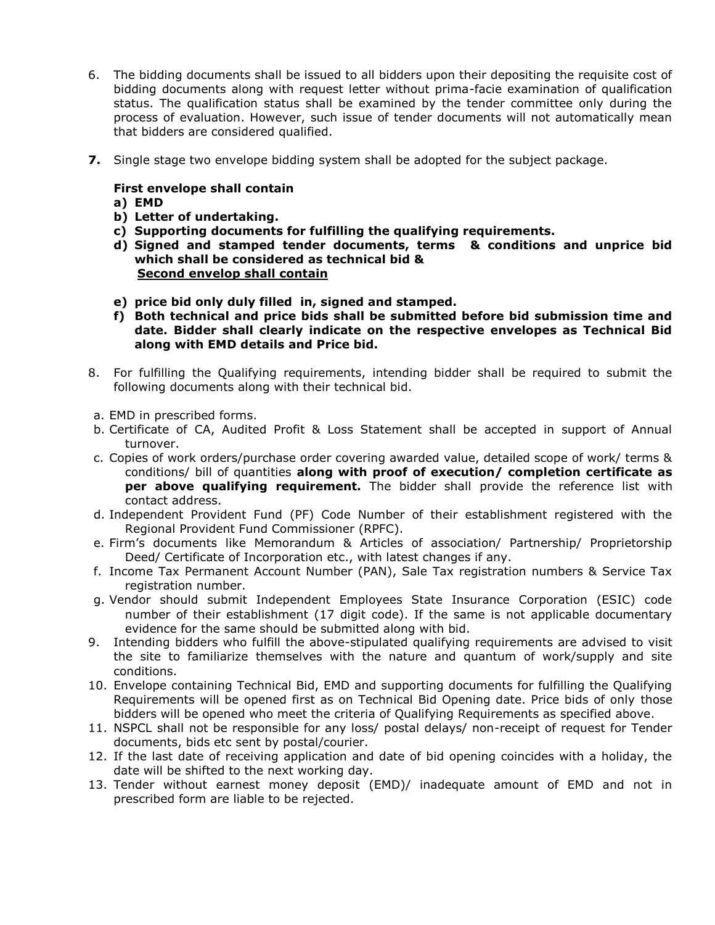- 6. The bidding documents shall be issued to all bidders upon their depositing the requisite cost of bidding documents along with request letter without prima-facie examination of qualification status. The qualification status shall be examined by the tender committee only during the process of evaluation. However, such issue of tender documents will not automatically mean that bidders are considered qualified.
- **7.** Single stage two envelope bidding system shall be adopted for the subject package.

## **First envelope shall contain**

- **a) EMD**
- **b) Letter of undertaking.**
- **c) Supporting documents for fulfilling the qualifying requirements.**
- **d) Signed and stamped tender documents, terms & conditions and unprice bid which shall be considered as technical bid & Second envelop shall contain**
- **e) price bid only duly filled in, signed and stamped.**
- **f) Both technical and price bids shall be submitted before bid submission time and date. Bidder shall clearly indicate on the respective envelopes as Technical Bid along with EMD details and Price bid.**
- 8. For fulfilling the Qualifying requirements, intending bidder shall be required to submit the following documents along with their technical bid.
- a. EMD in prescribed forms.
- b. Certificate of CA, Audited Profit & Loss Statement shall be accepted in support of Annual turnover.
- c. Copies of work orders/purchase order covering awarded value, detailed scope of work/ terms & conditions/ bill of quantities **along with proof of execution/ completion certificate as per above qualifying requirement.** The bidder shall provide the reference list with contact address.
- d. Independent Provident Fund (PF) Code Number of their establishment registered with the Regional Provident Fund Commissioner (RPFC).
- e. Firm's documents like Memorandum & Articles of association/ Partnership/ Proprietorship Deed/ Certificate of Incorporation etc., with latest changes if any.
- f. Income Tax Permanent Account Number (PAN), Sale Tax registration numbers & Service Tax registration number.
- g. Vendor should submit Independent Employees State Insurance Corporation (ESIC) code number of their establishment (17 digit code). If the same is not applicable documentary evidence for the same should be submitted along with bid.
- 9. Intending bidders who fulfill the above-stipulated qualifying requirements are advised to visit the site to familiarize themselves with the nature and quantum of work/supply and site conditions.
- 10. Envelope containing Technical Bid, EMD and supporting documents for fulfilling the Qualifying Requirements will be opened first as on Technical Bid Opening date. Price bids of only those bidders will be opened who meet the criteria of Qualifying Requirements as specified above.
- 11. NSPCL shall not be responsible for any loss/ postal delays/ non-receipt of request for Tender documents, bids etc sent by postal/courier.
- 12. If the last date of receiving application and date of bid opening coincides with a holiday, the date will be shifted to the next working day.
- 13. Tender without earnest money deposit (EMD)/ inadequate amount of EMD and not in prescribed form are liable to be rejected.